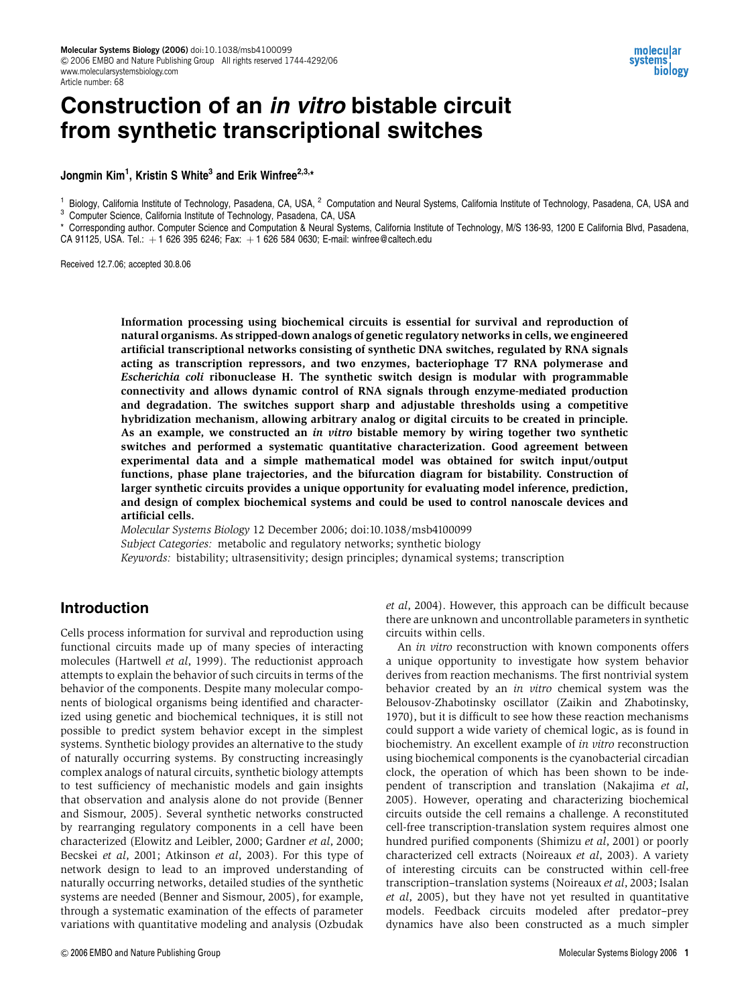# Construction of an in vitro bistable circuit from synthetic transcriptional switches

Jongmin Kim<sup>1</sup>, Kristin S White<sup>3</sup> and Erik Winfree<sup>2,3,</sup>\*

<sup>1</sup> Biology, California Institute of Technology, Pasadena, CA, USA, <sup>2</sup> Computation and Neural Systems, California Institute of Technology, Pasadena, CA, USA and<br><sup>3</sup> Computer Science, California Institute of Technology, Pa

\* Corresponding author. Computer Science and Computation & Neural Systems, California Institute of Technology, M/S 136-93, 1200 E California Blvd, Pasadena, CA 91125, USA. Tel.:  $+1$  626 395 6246; Fax:  $+1$  626 584 0630; E-mail: winfree@caltech.edu

Received 12.7.06; accepted 30.8.06

Information processing using biochemical circuits is essential for survival and reproduction of natural organisms. As stripped-down analogs of genetic regulatory networks in cells, we engineered artificial transcriptional networks consisting of synthetic DNA switches, regulated by RNA signals acting as transcription repressors, and two enzymes, bacteriophage T7 RNA polymerase and Escherichia coli ribonuclease H. The synthetic switch design is modular with programmable connectivity and allows dynamic control of RNA signals through enzyme-mediated production and degradation. The switches support sharp and adjustable thresholds using a competitive hybridization mechanism, allowing arbitrary analog or digital circuits to be created in principle. As an example, we constructed an in vitro bistable memory by wiring together two synthetic switches and performed a systematic quantitative characterization. Good agreement between experimental data and a simple mathematical model was obtained for switch input/output functions, phase plane trajectories, and the bifurcation diagram for bistability. Construction of larger synthetic circuits provides a unique opportunity for evaluating model inference, prediction, and design of complex biochemical systems and could be used to control nanoscale devices and artificial cells.

Molecular Systems Biology 12 December 2006; doi:10.1038/msb4100099 Subject Categories: metabolic and regulatory networks; synthetic biology Keywords: bistability; ultrasensitivity; design principles; dynamical systems; transcription

## Introduction

Cells process information for survival and reproduction using functional circuits made up of many species of interacting molecules (Hartwell et al, 1999). The reductionist approach attempts to explain the behavior of such circuits in terms of the behavior of the components. Despite many molecular components of biological organisms being identified and characterized using genetic and biochemical techniques, it is still not possible to predict system behavior except in the simplest systems. Synthetic biology provides an alternative to the study of naturally occurring systems. By constructing increasingly complex analogs of natural circuits, synthetic biology attempts to test sufficiency of mechanistic models and gain insights that observation and analysis alone do not provide (Benner and Sismour, 2005). Several synthetic networks constructed by rearranging regulatory components in a cell have been characterized (Elowitz and Leibler, 2000; Gardner et al, 2000; Becskei et al, 2001; Atkinson et al, 2003). For this type of network design to lead to an improved understanding of naturally occurring networks, detailed studies of the synthetic systems are needed (Benner and Sismour, 2005), for example, through a systematic examination of the effects of parameter variations with quantitative modeling and analysis (Ozbudak

et al, 2004). However, this approach can be difficult because there are unknown and uncontrollable parameters in synthetic circuits within cells.

An in vitro reconstruction with known components offers a unique opportunity to investigate how system behavior derives from reaction mechanisms. The first nontrivial system behavior created by an in vitro chemical system was the Belousov-Zhabotinsky oscillator (Zaikin and Zhabotinsky, 1970), but it is difficult to see how these reaction mechanisms could support a wide variety of chemical logic, as is found in biochemistry. An excellent example of in vitro reconstruction using biochemical components is the cyanobacterial circadian clock, the operation of which has been shown to be independent of transcription and translation (Nakajima et al, 2005). However, operating and characterizing biochemical circuits outside the cell remains a challenge. A reconstituted cell-free transcription-translation system requires almost one hundred purified components (Shimizu et al, 2001) or poorly characterized cell extracts (Noireaux et al, 2003). A variety of interesting circuits can be constructed within cell-free transcription–translation systems (Noireaux et al, 2003; Isalan et al, 2005), but they have not yet resulted in quantitative models. Feedback circuits modeled after predator–prey dynamics have also been constructed as a much simpler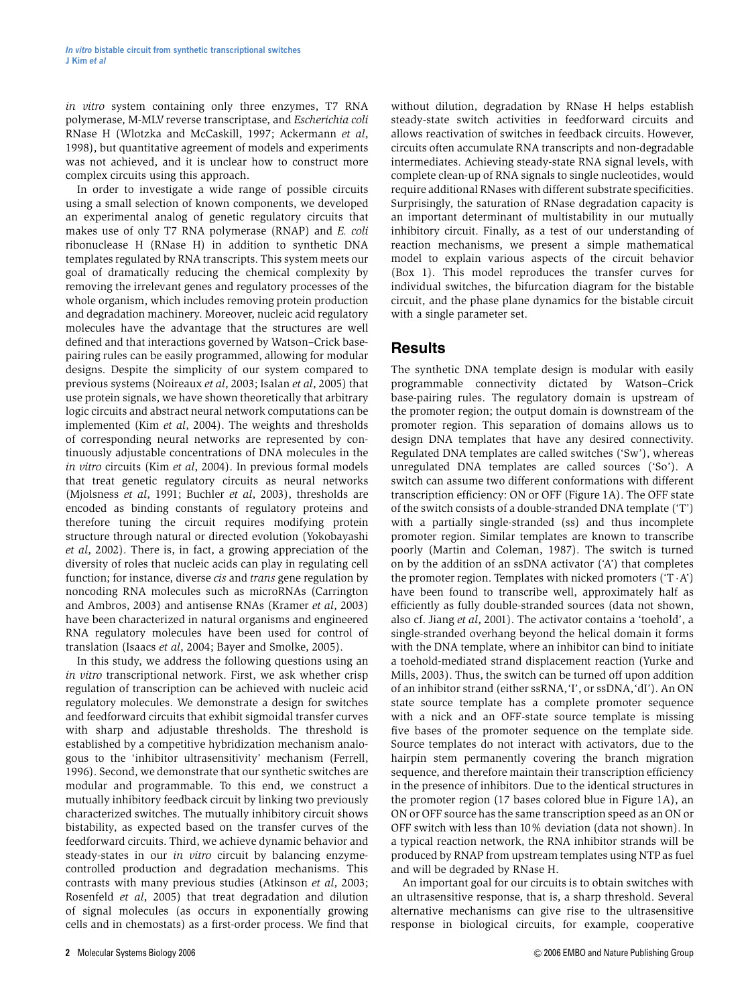in vitro system containing only three enzymes, T7 RNA polymerase, M-MLV reverse transcriptase, and Escherichia coli RNase H (Wlotzka and McCaskill, 1997; Ackermann et al, 1998), but quantitative agreement of models and experiments was not achieved, and it is unclear how to construct more complex circuits using this approach.

In order to investigate a wide range of possible circuits using a small selection of known components, we developed an experimental analog of genetic regulatory circuits that makes use of only T7 RNA polymerase (RNAP) and E. coli ribonuclease H (RNase H) in addition to synthetic DNA templates regulated by RNA transcripts. This system meets our goal of dramatically reducing the chemical complexity by removing the irrelevant genes and regulatory processes of the whole organism, which includes removing protein production and degradation machinery. Moreover, nucleic acid regulatory molecules have the advantage that the structures are well defined and that interactions governed by Watson–Crick basepairing rules can be easily programmed, allowing for modular designs. Despite the simplicity of our system compared to previous systems (Noireaux et al, 2003; Isalan et al, 2005) that use protein signals, we have shown theoretically that arbitrary logic circuits and abstract neural network computations can be implemented (Kim et al, 2004). The weights and thresholds of corresponding neural networks are represented by continuously adjustable concentrations of DNA molecules in the in vitro circuits (Kim et al, 2004). In previous formal models that treat genetic regulatory circuits as neural networks (Mjolsness et al, 1991; Buchler et al, 2003), thresholds are encoded as binding constants of regulatory proteins and therefore tuning the circuit requires modifying protein structure through natural or directed evolution (Yokobayashi et al, 2002). There is, in fact, a growing appreciation of the diversity of roles that nucleic acids can play in regulating cell function; for instance, diverse *cis* and *trans* gene regulation by noncoding RNA molecules such as microRNAs (Carrington and Ambros, 2003) and antisense RNAs (Kramer et al, 2003) have been characterized in natural organisms and engineered RNA regulatory molecules have been used for control of translation (Isaacs et al, 2004; Bayer and Smolke, 2005).

In this study, we address the following questions using an in vitro transcriptional network. First, we ask whether crisp regulation of transcription can be achieved with nucleic acid regulatory molecules. We demonstrate a design for switches and feedforward circuits that exhibit sigmoidal transfer curves with sharp and adjustable thresholds. The threshold is established by a competitive hybridization mechanism analogous to the 'inhibitor ultrasensitivity' mechanism (Ferrell, 1996). Second, we demonstrate that our synthetic switches are modular and programmable. To this end, we construct a mutually inhibitory feedback circuit by linking two previously characterized switches. The mutually inhibitory circuit shows bistability, as expected based on the transfer curves of the feedforward circuits. Third, we achieve dynamic behavior and steady-states in our in vitro circuit by balancing enzymecontrolled production and degradation mechanisms. This contrasts with many previous studies (Atkinson et al, 2003; Rosenfeld et al, 2005) that treat degradation and dilution of signal molecules (as occurs in exponentially growing cells and in chemostats) as a first-order process. We find that

without dilution, degradation by RNase H helps establish steady-state switch activities in feedforward circuits and allows reactivation of switches in feedback circuits. However, circuits often accumulate RNA transcripts and non-degradable intermediates. Achieving steady-state RNA signal levels, with complete clean-up of RNA signals to single nucleotides, would require additional RNases with different substrate specificities. Surprisingly, the saturation of RNase degradation capacity is an important determinant of multistability in our mutually inhibitory circuit. Finally, as a test of our understanding of reaction mechanisms, we present a simple mathematical model to explain various aspects of the circuit behavior (Box 1). This model reproduces the transfer curves for individual switches, the bifurcation diagram for the bistable circuit, and the phase plane dynamics for the bistable circuit with a single parameter set.

## **Results**

The synthetic DNA template design is modular with easily programmable connectivity dictated by Watson–Crick base-pairing rules. The regulatory domain is upstream of the promoter region; the output domain is downstream of the promoter region. This separation of domains allows us to design DNA templates that have any desired connectivity. Regulated DNA templates are called switches ('Sw'), whereas unregulated DNA templates are called sources ('So'). A switch can assume two different conformations with different transcription efficiency: ON or OFF (Figure 1A). The OFF state of the switch consists of a double-stranded DNA template ('T') with a partially single-stranded (ss) and thus incomplete promoter region. Similar templates are known to transcribe poorly (Martin and Coleman, 1987). The switch is turned on by the addition of an ssDNA activator ('A') that completes the promoter region. Templates with nicked promoters  $(T \cdot A')$ have been found to transcribe well, approximately half as efficiently as fully double-stranded sources (data not shown, also cf. Jiang et al, 2001). The activator contains a 'toehold', a single-stranded overhang beyond the helical domain it forms with the DNA template, where an inhibitor can bind to initiate a toehold-mediated strand displacement reaction (Yurke and Mills, 2003). Thus, the switch can be turned off upon addition of an inhibitor strand (either ssRNA,'I', or ssDNA,'dI'). An ON state source template has a complete promoter sequence with a nick and an OFF-state source template is missing five bases of the promoter sequence on the template side. Source templates do not interact with activators, due to the hairpin stem permanently covering the branch migration sequence, and therefore maintain their transcription efficiency in the presence of inhibitors. Due to the identical structures in the promoter region (17 bases colored blue in Figure 1A), an ON or OFF source has the same transcription speed as an ON or OFF switch with less than 10% deviation (data not shown). In a typical reaction network, the RNA inhibitor strands will be produced by RNAP from upstream templates using NTP as fuel and will be degraded by RNase H.

An important goal for our circuits is to obtain switches with an ultrasensitive response, that is, a sharp threshold. Several alternative mechanisms can give rise to the ultrasensitive response in biological circuits, for example, cooperative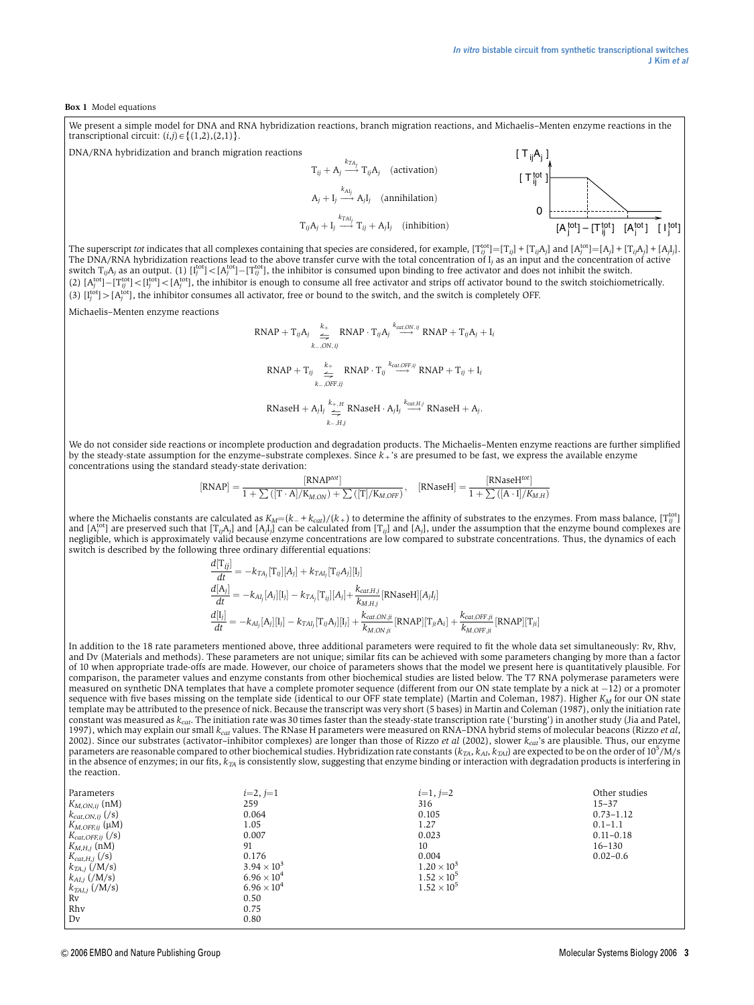#### Box 1 Model equations

We present a simple model for DNA and RNA hybridization reactions, branch migration reactions, and Michaelis–Menten enzyme reactions in the transcriptional circuit:  $(i,j) \in \{(1,2),(2,1)\}.$ DNA/RNA hybridization and branch migration reactions tot [ T <sup>tot</sup> ] 0  $[A_j^{\text{tot}}] - [T_{ij}^{\text{tot}}]$   $[A_j^{\text{tot}}]$   $[1_j^{\text{tot}}]$  $[T_{ij} A_j]$  $T_{ij} + A_j \stackrel{k_{TA_j}}{\longrightarrow} T_{ij}A_j$  (activation)  $A_j + I_j \stackrel{k_{AI_j}}{\longrightarrow} A_j I_j$  (annihilation)  $T_{ij}A_j + I_j \stackrel{k_{TAI_j}}{\longrightarrow} T_{ij} + A_jI_j$  (inhibition) The superscript *tot* indicates that all complexes containing that species are considered, for example,  $[T_{ij}^{tot}]=[T_{ij}]+[T_{ij}A_j]$  and  $[A_j^{tot}]=[A_j]+[T_{ij}A_j]+[A_jI_j]+[A_j]$ .<br>The DNA/RNA hybridization reactions lead to the above tran switch  $T_{ij}A_j$  as an output. (1)  $[I_j^{tot}] < [A_j^{tot}] - [T_{ij}^{tot}]$ , the inhibitor is consumed upon binding to free activator and does not inhibit the switch. (2)  $[A_j^{\text{tot}}] - [T_{ij}^{\text{tot}}] < [A_j^{\text{tot}}]$ , the inhibitor is enough to consume all free activator and strips off activator bound to the switch stoichiometrically. (3)  $[I_j^{tot}] > [A_j^{tot}]$ , the inhibitor consumes all activator, free or bound to the switch, and the switch is completely OFF. Michaelis–Menten enzyme reactions  $RNAP + T_{ij}A_j$  $\overset{k_+}{\leftarrow}$  RNAP · T<sub>ij</sub>A<sub>j</sub>  $\overset{k_{cat,ON},ij}{\longrightarrow}$  RNAP + T<sub>ij</sub>A<sub>j</sub> + I<sub>i</sub>  $\leftrightharpoons$ 

\n
$$
\text{NAP} + \text{T}_{ij}A_j \xrightarrow{k=0, N, ij} \text{RNAP} \cdot \text{T}_{ij}A_j \xrightarrow{m \to i} \text{RNAP} + \text{T}_{ij}A_j + \text{I}_{i}
$$
\n

\n\n $\text{RNAP} + \text{T}_{ij} \xrightarrow{k+} \text{RNAP} \cdot \text{T}_{ij} \xrightarrow{k_{cat,OFF,ij}} \text{RNAP} + \text{T}_{ij} + \text{I}_{i}$ \n

\n\n $\text{RNaseH} + A_jI_j \xrightarrow{k_{f,H}} \text{RNaseH} \cdot A_jI_j \xrightarrow{k_{cat,H,j}} \text{RNaseH} + A_j.$ \n

$$
\overline{\sum_{k=,H,j}}
$$

We do not consider side reactions or incomplete production and degradation products. The Michaelis–Menten enzyme reactions are further simplified by the steady-state assumption for the enzyme–substrate complexes. Since  $k_{+}$ 's are presumed to be fast, we express the available enzyme concentrations using the standard steady-state derivation:

$$
\text{[RNAP]} = \frac{\text{[RNAP}^{\text{tot}}]}{1 + \sum{(\text{[T A]}/\text{K}_{M,ON})} + \sum{(\text{[T]}/\text{K}_{M,OFF})}}, \quad \text{[RNaseH]} = \frac{\text{[RNaseH}^{\text{tot}}]}{1 + \sum{(\text{[A I]}/\text{K}_{M,HI})}}
$$

where the Michaelis constants are calculated as  $K_M = (k_- + k_{cat})/(k_+)$  to determine the affinity of substrates to the enzymes. From mass balance,  $[T_{ij}^{tot}]$ and  $[A_j^{tot}]$  are preserved such that  $[T_{ij}A_j]$  and  $[A_j]$  can be calculated from  $[T_{ij}]$  and  $[A_j]$ , under the assumption that the enzyme bound complexes are negligible, which is approximately valid because enzyme concentrations are low compared to substrate concentrations. Thus, the dynamics of each switch is described by the following three ordinary differential equations:

$$
\frac{d[T_{ij}]}{dt} = -k_{TA_j}[T_{ij}][A_j] + k_{TA_j}[T_{ij}A_j][I_j] \n\frac{d[A_j]}{dt} = -k_{AI_j}[A_j][I_j] - k_{TA_j}[T_{ij}][A_j] + \frac{k_{cat, Hj}}{k_{M, Hj}}[RNaseH][A_jI_j] \n\frac{d[I_j]}{dt} = -k_{AI_j}[A_j][I_j] - k_{TA_j}[T_{ij}A_j][I_j] + \frac{k_{cat, ONji}}{k_{M, ONji}}[RNAP][T_{ji}A_i] + \frac{k_{cat, OFji}}{k_{M, OFFji}}[RNAP][T_{ji}]
$$

In addition to the 18 rate parameters mentioned above, three additional parameters were required to fit the whole data set simultaneously: Rv, Rhv, and Dv (Materials and methods). These parameters are not unique; similar fits can be achieved with some parameters changing by more than a factor of 10 when appropriate trade-offs are made. However, our choice of parameters shows that the model we present here is quantitatively plausible. For comparison, the parameter values and enzyme constants from other biochemical studies are listed below. The T7 RNA polymerase parameters were measured on synthetic DNA templates that have a complete promoter sequence (different from our ON state template by a nick at  $-12$ ) or a promoter sequence with five bases missing on the template side (identical to our OFF state template) (Martin and Coleman, 1987). Higher K<sub>M</sub> for our ON state template may be attributed to the presence of nick. Because the transcript was very short (5 bases) in Martin and Coleman (1987), only the initiation rate constant was measured as  $k_{cat}$ . The initiation rate was 30 times faster than the steady-state transcription rate ('bursting') in another study (Jia and Patel, 1997), which may explain our small  $k_{cat}$  values. The RNase H parameters were measured on RNA–DNA hybrid stems of molecular beacons (Rizzo *et al.*) 2002). Since our substrates (activator–inhibitor complexes) are longer than those of Rizzo *et al* (2002), slower  $k_{cat}$ 's are plausible. Thus, our enzyme parameters are reasonable compared to other biochemical studies. Hybridization rate constants ( $k_{TA}$ ,  $k_{AI}$ ,  $k_{TA}$ ) are expected to be on the order of 10<sup>5</sup>/M/s in the absence of enzymes; in our fits,  $k_{TA}$  is consistently slow, suggesting that enzyme binding or interaction with degradation products is interfering in the reaction.

| Parameters                                                                                                  | $i=2, j=1$           | $i=1, j=2$           | Other studies |
|-------------------------------------------------------------------------------------------------------------|----------------------|----------------------|---------------|
| $K_{M,ON,ij}$ (nM)                                                                                          | 259                  | 316                  | $15 - 37$     |
| $k_{cat,ON,ij}$ (/s)                                                                                        | 0.064                | 0.105                | $0.73 - 1.12$ |
| $K_{M,OFF,ij}$ ( $\mu$ M)                                                                                   | 1.05                 | 1.27                 | $0.1 - 1.1$   |
| $K_{cat,OFF,ij}$ (/s)                                                                                       | 0.007                | 0.023                | $0.11 - 0.18$ |
| $K_{M,H,j}$ (nM)<br>$K_{cat,H,j}$ (/s)<br>$k_{TA,j}$ (/M/s)<br>$k_{AI,j}$ (/M/s)<br>$k_{TA,j}$ (/M/s)<br>Rv | 91                   | 10                   | $16 - 130$    |
|                                                                                                             | 0.176                | 0.004                | $0.02 - 0.6$  |
|                                                                                                             | $3.94 \times 10^{3}$ | $1.20 \times 10^{3}$ |               |
|                                                                                                             | $6.96 \times 10^{4}$ | $1.52 \times 10^{5}$ |               |
|                                                                                                             | $6.96 \times 10^{4}$ | $1.52 \times 10^{5}$ |               |
|                                                                                                             | 0.50                 |                      |               |
| Rhy                                                                                                         | 0.75                 |                      |               |
| Dv                                                                                                          | 0.80                 |                      |               |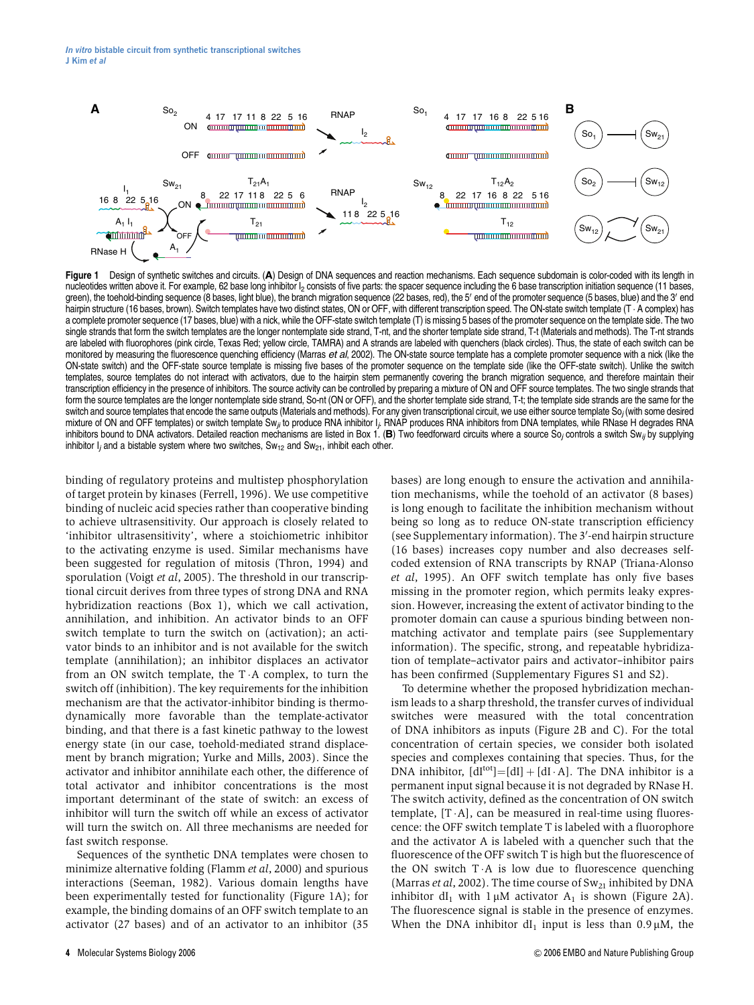

Figure 1 Design of synthetic switches and circuits. (A) Design of DNA sequences and reaction mechanisms. Each sequence subdomain is color-coded with its length in nucleotides written above it. For example, 62 base long inhibitor I<sub>2</sub> consists of five parts: the spacer sequence including the 6 base transcription initiation sequence (11 bases, green), the toehold-binding sequence (8 bases, light blue), the branch migration sequence (22 bases, red), the 5' end of the promoter sequence (5 bases, blue) and the 3' end hairpin structure (16 bases, brown). Switch templates have two distinct states, ON or OFF, with different transcription speed. The ON-state switch template (T · A complex) has a complete promoter sequence (17 bases, blue) with a nick, while the OFF-state switch template (T) is missing 5 bases of the promoter sequence on the template side. The two single strands that form the switch templates are the longer nontemplate side strand, T-nt, and the shorter template side strand, T-t (Materials and methods). The T-nt strands are labeled with fluorophores (pink circle, Texas Red; yellow circle, TAMRA) and A strands are labeled with quenchers (black circles). Thus, the state of each switch can be monitored by measuring the fluorescence quenching efficiency (Marras et al, 2002). The ON-state source template has a complete promoter sequence with a nick (like the ON-state switch) and the OFF-state source template is missing five bases of the promoter sequence on the template side (like the OFF-state switch). Unlike the switch templates, source templates do not interact with activators, due to the hairpin stem permanently covering the branch migration sequence, and therefore maintain their transcription efficiency in the presence of inhibitors. The source activity can be controlled by preparing a mixture of ON and OFF source templates. The two single strands that form the source templates are the longer nontemplate side strand, So-nt (ON or OFF), and the shorter template side strand, T-t; the template side strands are the same for the switch and source templates that encode the same outputs (Materials and methods). For any given transcriptional circuit, we use either source template So, (with some desired mixture of ON and OFF templates) or switch template Sw<sub>ji</sub> to produce RNA inhibitor I<sub>j</sub>. RNAP produces RNA inhibitors from DNA templates, while RNase H degrades RNA inhibitors bound to DNA activators. Detailed reaction mechanisms are listed in Box 1. (B) Two feedforward circuits where a source So<sub>i</sub> controls a switch Sw<sub>ij</sub> by supplying inhibitor  $I_i$  and a bistable system where two switches,  $Sw_{12}$  and  $Sw_{21}$ , inhibit each other.

binding of regulatory proteins and multistep phosphorylation of target protein by kinases (Ferrell, 1996). We use competitive binding of nucleic acid species rather than cooperative binding to achieve ultrasensitivity. Our approach is closely related to 'inhibitor ultrasensitivity', where a stoichiometric inhibitor to the activating enzyme is used. Similar mechanisms have been suggested for regulation of mitosis (Thron, 1994) and sporulation (Voigt et al, 2005). The threshold in our transcriptional circuit derives from three types of strong DNA and RNA hybridization reactions (Box 1), which we call activation, annihilation, and inhibition. An activator binds to an OFF switch template to turn the switch on (activation); an activator binds to an inhibitor and is not available for the switch template (annihilation); an inhibitor displaces an activator from an ON switch template, the T -A complex, to turn the switch off (inhibition). The key requirements for the inhibition mechanism are that the activator-inhibitor binding is thermodynamically more favorable than the template-activator binding, and that there is a fast kinetic pathway to the lowest energy state (in our case, toehold-mediated strand displacement by branch migration; Yurke and Mills, 2003). Since the activator and inhibitor annihilate each other, the difference of total activator and inhibitor concentrations is the most important determinant of the state of switch: an excess of inhibitor will turn the switch off while an excess of activator will turn the switch on. All three mechanisms are needed for fast switch response.

Sequences of the synthetic DNA templates were chosen to minimize alternative folding (Flamm et al, 2000) and spurious interactions (Seeman, 1982). Various domain lengths have been experimentally tested for functionality (Figure 1A); for example, the binding domains of an OFF switch template to an activator (27 bases) and of an activator to an inhibitor (35

bases) are long enough to ensure the activation and annihilation mechanisms, while the toehold of an activator (8 bases) is long enough to facilitate the inhibition mechanism without being so long as to reduce ON-state transcription efficiency (see Supplementary information). The 3'-end hairpin structure (16 bases) increases copy number and also decreases selfcoded extension of RNA transcripts by RNAP (Triana-Alonso et al, 1995). An OFF switch template has only five bases missing in the promoter region, which permits leaky expression. However, increasing the extent of activator binding to the promoter domain can cause a spurious binding between nonmatching activator and template pairs (see Supplementary information). The specific, strong, and repeatable hybridization of template–activator pairs and activator–inhibitor pairs has been confirmed (Supplementary Figures S1 and S2).

To determine whether the proposed hybridization mechanism leads to a sharp threshold, the transfer curves of individual switches were measured with the total concentration of DNA inhibitors as inputs (Figure 2B and C). For the total concentration of certain species, we consider both isolated species and complexes containing that species. Thus, for the DNA inhibitor,  $[dI<sup>tot</sup>] = [dI] + [dI \cdot A]$ . The DNA inhibitor is a permanent input signal because it is not degraded by RNase H. The switch activity, defined as the concentration of ON switch template, [T -A], can be measured in real-time using fluorescence: the OFF switch template T is labeled with a fluorophore and the activator A is labeled with a quencher such that the fluorescence of the OFF switch T is high but the fluorescence of the ON switch T -A is low due to fluorescence quenching (Marras et al, 2002). The time course of  $Sw_{21}$  inhibited by DNA inhibitor  $dI_1$  with 1  $\mu$ M activator  $A_1$  is shown (Figure 2A). The fluorescence signal is stable in the presence of enzymes. When the DNA inhibitor  $dI_1$  input is less than  $0.9 \mu M$ , the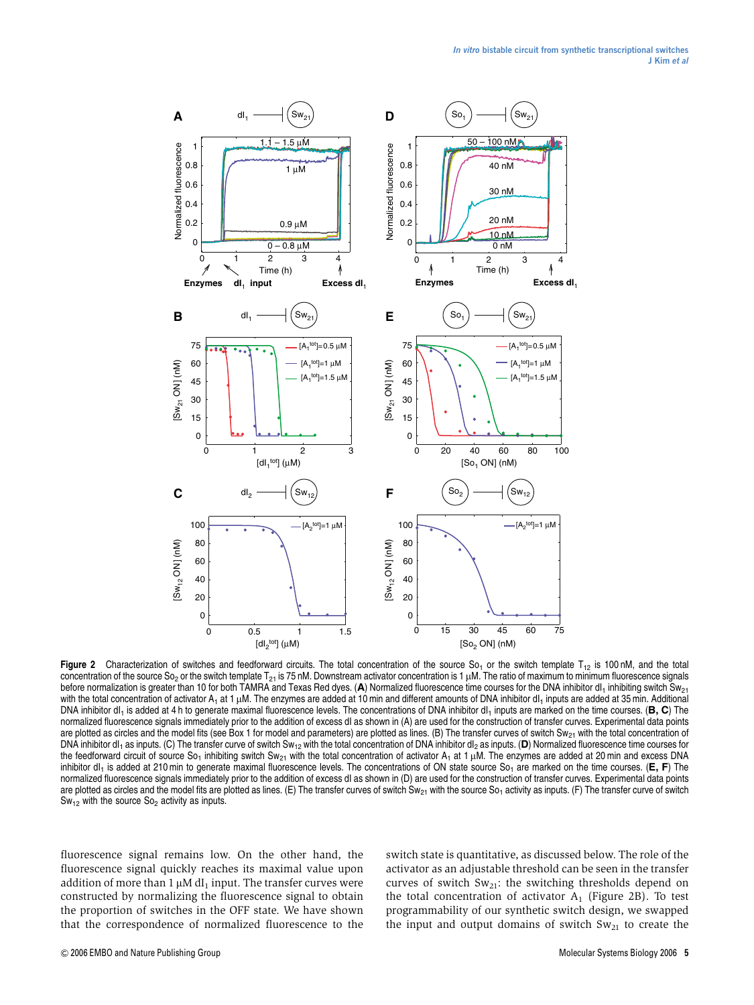

Figure 2 Characterization of switches and feedforward circuits. The total concentration of the source So<sub>1</sub> or the switch template T<sub>12</sub> is 100 nM, and the total concentration of the source So<sub>2</sub> or the switch template T<sub>21</sub> is 75 nM. Downstream activator concentration is 1  $\mu$ M. The ratio of maximum to minimum fluorescence signals before normalization is greater than 10 for both TAMRA and Texas Red dyes. (A) Normalized fluorescence time courses for the DNA inhibitor dI, inhibiting switch Sw<sub>21</sub> with the total concentration of activator A<sub>1</sub> at 1  $\mu$ M. The enzymes are added at 10 min and different amounts of DNA inhibitor dl<sub>1</sub> inputs are added at 35 min. Additional DNA inhibitor dI<sub>1</sub> is added at 4 h to generate maximal fluorescence levels. The concentrations of DNA inhibitor dI<sub>1</sub> inputs are marked on the time courses. (**B, C**) The normalized fluorescence signals immediately prior to the addition of excess dl as shown in (A) are used for the construction of transfer curves. Experimental data points are plotted as circles and the model fits (see Box 1 for model and parameters) are plotted as lines. (B) The transfer curves of switch Sw<sub>21</sub> with the total concentration of DNA inhibitor dI<sub>1</sub> as inputs. (C) The transfer curve of switch Sw<sub>12</sub> with the total concentration of DNA inhibitor dI<sub>2</sub> as inputs. (D) Normalized fluorescence time courses for the feedforward circuit of source So<sub>1</sub> inhibiting switch Sw<sub>21</sub> with the total concentration of activator A<sub>1</sub> at 1  $\mu$ M. The enzymes are added at 20 min and excess DNA inhibitor dl<sub>1</sub> is added at 210 min to generate maximal fluorescence levels. The concentrations of ON state source So<sub>1</sub> are marked on the time courses. (E, F) The normalized fluorescence signals immediately prior to the addition of excess dl as shown in (D) are used for the construction of transfer curves. Experimental data points are plotted as circles and the model fits are plotted as lines. (E) The transfer curves of switch  $Sw_{21}$  with the source  $So_1$  activity as inputs. (F) The transfer curve of switch  $Sw_{12}$  with the source  $So_2$  activity as inputs.

fluorescence signal remains low. On the other hand, the fluorescence signal quickly reaches its maximal value upon addition of more than 1  $\mu$ M dI<sub>1</sub> input. The transfer curves were constructed by normalizing the fluorescence signal to obtain the proportion of switches in the OFF state. We have shown that the correspondence of normalized fluorescence to the switch state is quantitative, as discussed below. The role of the activator as an adjustable threshold can be seen in the transfer curves of switch  $Sw_{21}$ : the switching thresholds depend on the total concentration of activator  $A_1$  (Figure 2B). To test programmability of our synthetic switch design, we swapped the input and output domains of switch  $Sw_{21}$  to create the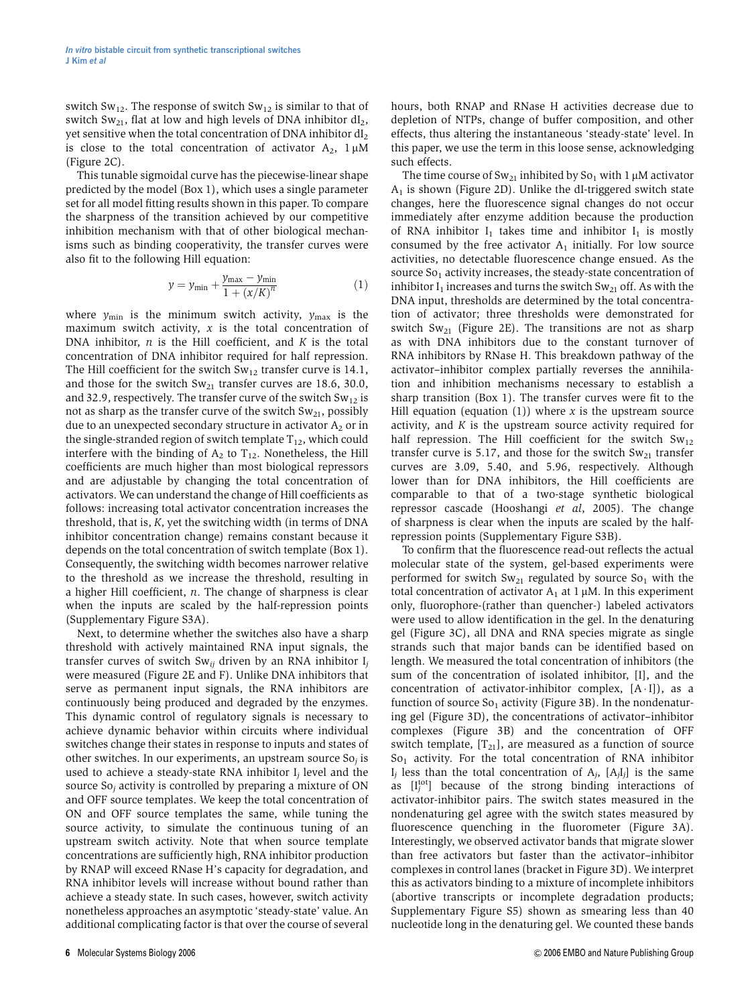switch  $Sw_{12}$ . The response of switch  $Sw_{12}$  is similar to that of switch  $Sw_{21}$ , flat at low and high levels of DNA inhibitor  $dl_2$ , yet sensitive when the total concentration of DNA inhibitor  $dI_2$ is close to the total concentration of activator  $A_2$ ,  $1 \mu M$ (Figure 2C).

This tunable sigmoidal curve has the piecewise-linear shape predicted by the model (Box 1), which uses a single parameter set for all model fitting results shown in this paper. To compare the sharpness of the transition achieved by our competitive inhibition mechanism with that of other biological mechanisms such as binding cooperativity, the transfer curves were also fit to the following Hill equation:

$$
y = y_{\min} + \frac{y_{\max} - y_{\min}}{1 + (x/K)^n}
$$
 (1)

where  $y_{\text{min}}$  is the minimum switch activity,  $y_{\text{max}}$  is the maximum switch activity,  $x$  is the total concentration of DNA inhibitor,  $n$  is the Hill coefficient, and  $K$  is the total concentration of DNA inhibitor required for half repression. The Hill coefficient for the switch  $Sw_{12}$  transfer curve is 14.1, and those for the switch  $Sw_{21}$  transfer curves are 18.6, 30.0, and 32.9, respectively. The transfer curve of the switch  $Sw_{12}$  is not as sharp as the transfer curve of the switch  $Sw_{21}$ , possibly due to an unexpected secondary structure in activator  $A_2$  or in the single-stranded region of switch template  $T_{12}$ , which could interfere with the binding of  $A_2$  to  $T_{12}$ . Nonetheless, the Hill coefficients are much higher than most biological repressors and are adjustable by changing the total concentration of activators. We can understand the change of Hill coefficients as follows: increasing total activator concentration increases the threshold, that is, K, yet the switching width (in terms of DNA inhibitor concentration change) remains constant because it depends on the total concentration of switch template (Box 1). Consequently, the switching width becomes narrower relative to the threshold as we increase the threshold, resulting in a higher Hill coefficient,  $n$ . The change of sharpness is clear when the inputs are scaled by the half-repression points (Supplementary Figure S3A).

Next, to determine whether the switches also have a sharp threshold with actively maintained RNA input signals, the transfer curves of switch  $Sw_{ii}$  driven by an RNA inhibitor  $I_i$ were measured (Figure 2E and F). Unlike DNA inhibitors that serve as permanent input signals, the RNA inhibitors are continuously being produced and degraded by the enzymes. This dynamic control of regulatory signals is necessary to achieve dynamic behavior within circuits where individual switches change their states in response to inputs and states of other switches. In our experiments, an upstream source  $So<sub>i</sub>$  is used to achieve a steady-state RNA inhibitor  $I_i$  level and the source  $\text{So}_i$  activity is controlled by preparing a mixture of ON and OFF source templates. We keep the total concentration of ON and OFF source templates the same, while tuning the source activity, to simulate the continuous tuning of an upstream switch activity. Note that when source template concentrations are sufficiently high, RNA inhibitor production by RNAP will exceed RNase H's capacity for degradation, and RNA inhibitor levels will increase without bound rather than achieve a steady state. In such cases, however, switch activity nonetheless approaches an asymptotic 'steady-state' value. An additional complicating factor is that over the course of several

hours, both RNAP and RNase H activities decrease due to depletion of NTPs, change of buffer composition, and other effects, thus altering the instantaneous 'steady-state' level. In this paper, we use the term in this loose sense, acknowledging such effects.

The time course of  $Sw_{21}$  inhibited by  $So_1$  with 1  $\mu$ M activator  $A_1$  is shown (Figure 2D). Unlike the dI-triggered switch state changes, here the fluorescence signal changes do not occur immediately after enzyme addition because the production of RNA inhibitor  $I_1$  takes time and inhibitor  $I_1$  is mostly consumed by the free activator  $A_1$  initially. For low source activities, no detectable fluorescence change ensued. As the source  $So<sub>1</sub>$  activity increases, the steady-state concentration of inhibitor  $I_1$  increases and turns the switch  $Sw_{21}$  off. As with the DNA input, thresholds are determined by the total concentration of activator; three thresholds were demonstrated for switch  $Sw_{21}$  (Figure 2E). The transitions are not as sharp as with DNA inhibitors due to the constant turnover of RNA inhibitors by RNase H. This breakdown pathway of the activator–inhibitor complex partially reverses the annihilation and inhibition mechanisms necessary to establish a sharp transition (Box 1). The transfer curves were fit to the Hill equation (equation  $(1)$ ) where x is the upstream source activity, and K is the upstream source activity required for half repression. The Hill coefficient for the switch  $Sw_{12}$ transfer curve is 5.17, and those for the switch  $Sw_{21}$  transfer curves are 3.09, 5.40, and 5.96, respectively. Although lower than for DNA inhibitors, the Hill coefficients are comparable to that of a two-stage synthetic biological repressor cascade (Hooshangi et al, 2005). The change of sharpness is clear when the inputs are scaled by the halfrepression points (Supplementary Figure S3B).

To confirm that the fluorescence read-out reflects the actual molecular state of the system, gel-based experiments were performed for switch  $Sw_{21}$  regulated by source  $So_1$  with the total concentration of activator  $A_1$  at 1  $\mu$ M. In this experiment only, fluorophore-(rather than quencher-) labeled activators were used to allow identification in the gel. In the denaturing gel (Figure 3C), all DNA and RNA species migrate as single strands such that major bands can be identified based on length. We measured the total concentration of inhibitors (the sum of the concentration of isolated inhibitor, [I], and the concentration of activator-inhibitor complex, [A- I]), as a function of source  $So<sub>1</sub>$  activity (Figure 3B). In the nondenaturing gel (Figure 3D), the concentrations of activator–inhibitor complexes (Figure 3B) and the concentration of OFF switch template,  $[T_{21}]$ , are measured as a function of source  $So<sub>1</sub>$  activity. For the total concentration of RNA inhibitor  $I_j$  less than the total concentration of  $A_j$ ,  $[A_j I_j]$  is the same as  $[I_j^{\text{tot}}]$  because of the strong binding interactions of activator-inhibitor pairs. The switch states measured in the nondenaturing gel agree with the switch states measured by fluorescence quenching in the fluorometer (Figure 3A). Interestingly, we observed activator bands that migrate slower than free activators but faster than the activator–inhibitor complexes in control lanes (bracket in Figure 3D). We interpret this as activators binding to a mixture of incomplete inhibitors (abortive transcripts or incomplete degradation products; Supplementary Figure S5) shown as smearing less than 40 nucleotide long in the denaturing gel. We counted these bands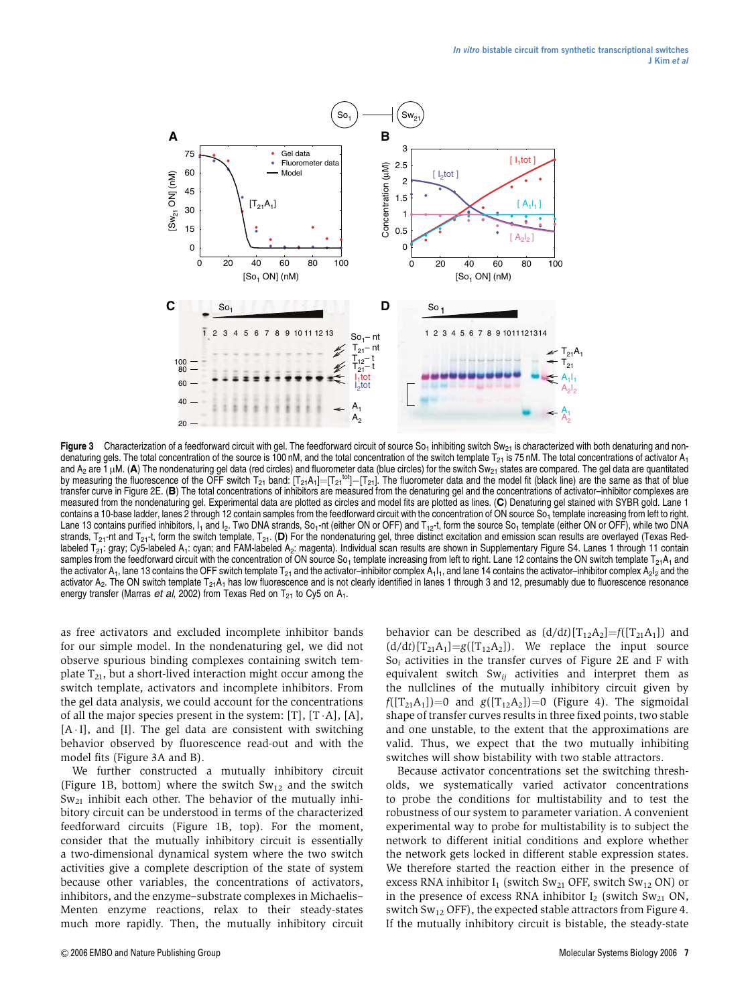

Figure 3 Characterization of a feedforward circuit with gel. The feedforward circuit of source So<sub>1</sub> inhibiting switch Sw<sub>21</sub> is characterized with both denaturing and nondenaturing gels. The total concentration of the source is 100 nM, and the total concentration of the switch template T<sub>21</sub> is 75 nM. The total concentrations of activator A<sub>1</sub> and  $A_2$  are 1  $\mu$ M. (A) The nondenaturing gel data (red circles) and fluorometer data (blue circles) for the switch Sw<sub>21</sub> states are compared. The gel data are quantitated by measuring the fluorescence of the OFF switch  $T_{21}$  band:  $[T_{21}A_1]=[T_{21}^{tot}]-[T_{21}^{tot}]-[T_{21}^{tot}]$ . The fluorometer data and the model fit (black line) are the same as that of blue transfer curve in Figure 2E. (B) The total concentrations of inhibitors are measured from the denaturing gel and the concentrations of activator–inhibitor complexes are measured from the nondenaturing gel. Experimental data are plotted as circles and model fits are plotted as lines. (C) Denaturing gel stained with SYBR gold. Lane 1 contains a 10-base ladder, lanes 2 through 12 contain samples from the feedforward circuit with the concentration of ON source So<sub>1</sub> template increasing from left to right. Lane 13 contains purified inhibitors,  $I_1$  and  $I_2$ . Two DNA strands, So<sub>1</sub>-nt (either ON or OFF) and T<sub>12</sub>-t, form the source So<sub>1</sub> template (either ON or OFF), while two DNA strands,  $T_{21}$ -nt and  $T_{21}$ -t, form the switch template,  $T_{21}$ . (D) For the nondenaturing gel, three distinct excitation and emission scan results are overlayed (Texas Redlabeled T<sub>21</sub>: gray; Cy5-labeled A<sub>1</sub>: cyan; and FAM-labeled A<sub>2</sub>: magenta). Individual scan results are shown in Supplementary Figure S4. Lanes 1 through 11 contain samples from the feedforward circuit with the concentration of ON source So<sub>1</sub> template increasing from left to right. Lane 12 contains the ON switch template T<sub>21</sub>A<sub>1</sub> and the activator A<sub>1</sub>, lane 13 contains the OFF switch template T<sub>21</sub> and the activator–inhibitor complex A<sub>1</sub>I<sub>1</sub>, and lane 14 contains the activator–inhibitor complex A<sub>2</sub>I<sub>2</sub> and the activator  $A_2$ . The ON switch template T<sub>21</sub>A<sub>1</sub> has low fluorescence and is not clearly identified in lanes 1 through 3 and 12, presumably due to fluorescence resonance energy transfer (Marras et al. 2002) from Texas Red on  $T_{21}$  to Cy5 on A<sub>1</sub>.

as free activators and excluded incomplete inhibitor bands for our simple model. In the nondenaturing gel, we did not observe spurious binding complexes containing switch template  $T_{21}$ , but a short-lived interaction might occur among the switch template, activators and incomplete inhibitors. From the gel data analysis, we could account for the concentrations of all the major species present in the system:  $[T]$ ,  $[T \cdot A]$ ,  $[A]$ , [A- I], and [I]. The gel data are consistent with switching behavior observed by fluorescence read-out and with the model fits (Figure 3A and B).

We further constructed a mutually inhibitory circuit (Figure 1B, bottom) where the switch  $Sw_{12}$  and the switch  $Sw_{21}$  inhibit each other. The behavior of the mutually inhibitory circuit can be understood in terms of the characterized feedforward circuits (Figure 1B, top). For the moment, consider that the mutually inhibitory circuit is essentially a two-dimensional dynamical system where the two switch activities give a complete description of the state of system because other variables, the concentrations of activators, inhibitors, and the enzyme–substrate complexes in Michaelis– Menten enzyme reactions, relax to their steady-states much more rapidly. Then, the mutually inhibitory circuit

behavior can be described as  $(d/dt)[T_{12}A_2]=f([T_{21}A_1])$  and  $(d/dt)[T_{21}A_1]=g([T_{12}A_2])$ . We replace the input source  $So<sub>i</sub>$  activities in the transfer curves of Figure 2E and F with equivalent switch  $Sw_{ij}$  activities and interpret them as the nullclines of the mutually inhibitory circuit given by  $f([T_{21}A_1])=0$  and  $g([T_{12}A_2])=0$  (Figure 4). The sigmoidal shape of transfer curves results in three fixed points, two stable and one unstable, to the extent that the approximations are valid. Thus, we expect that the two mutually inhibiting switches will show bistability with two stable attractors.

Because activator concentrations set the switching thresholds, we systematically varied activator concentrations to probe the conditions for multistability and to test the robustness of our system to parameter variation. A convenient experimental way to probe for multistability is to subject the network to different initial conditions and explore whether the network gets locked in different stable expression states. We therefore started the reaction either in the presence of excess RNA inhibitor  $I_1$  (switch Sw<sub>21</sub> OFF, switch Sw<sub>12</sub> ON) or in the presence of excess RNA inhibitor  $I_2$  (switch Sw<sub>21</sub> ON, switch  $Sw_{12}$  OFF), the expected stable attractors from Figure 4. If the mutually inhibitory circuit is bistable, the steady-state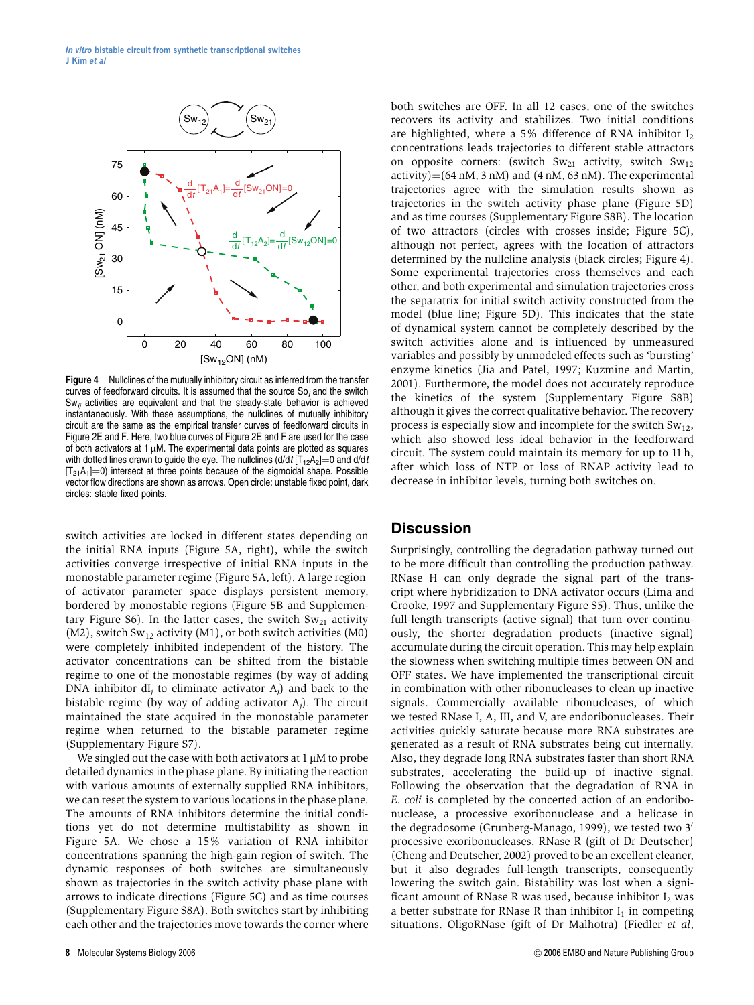

**Figure 4** Nullclines of the mutually inhibitory circuit as inferred from the transfer curves of feedforward circuits. It is assumed that the source  $So<sub>i</sub>$  and the switch  $Sw<sub>ii</sub>$  activities are equivalent and that the steady-state behavior is achieved instantaneously. With these assumptions, the nullclines of mutually inhibitory circuit are the same as the empirical transfer curves of feedforward circuits in Figure 2E and F. Here, two blue curves of Figure 2E and F are used for the case of both activators at 1  $\mu$ M. The experimental data points are plotted as squares with dotted lines drawn to guide the eye. The nullclines (d/dt  $[T_{12}A_2]=0$  and d/dt  $[T_{21}A_1]=0$ ) intersect at three points because of the sigmoidal shape. Possible vector flow directions are shown as arrows. Open circle: unstable fixed point, dark circles: stable fixed points.

switch activities are locked in different states depending on the initial RNA inputs (Figure 5A, right), while the switch activities converge irrespective of initial RNA inputs in the monostable parameter regime (Figure 5A, left). A large region of activator parameter space displays persistent memory, bordered by monostable regions (Figure 5B and Supplementary Figure S6). In the latter cases, the switch  $Sw_{21}$  activity  $(M2)$ , switch Sw<sub>12</sub> activity  $(M1)$ , or both switch activities  $(M0)$ were completely inhibited independent of the history. The activator concentrations can be shifted from the bistable regime to one of the monostable regimes (by way of adding DNA inhibitor  $dI_i$  to eliminate activator  $A_i$ ) and back to the bistable regime (by way of adding activator  $A_i$ ). The circuit maintained the state acquired in the monostable parameter regime when returned to the bistable parameter regime (Supplementary Figure S7).

We singled out the case with both activators at  $1 \mu M$  to probe detailed dynamics in the phase plane. By initiating the reaction with various amounts of externally supplied RNA inhibitors, we can reset the system to various locations in the phase plane. The amounts of RNA inhibitors determine the initial conditions yet do not determine multistability as shown in Figure 5A. We chose a 15% variation of RNA inhibitor concentrations spanning the high-gain region of switch. The dynamic responses of both switches are simultaneously shown as trajectories in the switch activity phase plane with arrows to indicate directions (Figure 5C) and as time courses (Supplementary Figure S8A). Both switches start by inhibiting each other and the trajectories move towards the corner where

both switches are OFF. In all 12 cases, one of the switches recovers its activity and stabilizes. Two initial conditions are highlighted, where a 5% difference of RNA inhibitor  $I_2$ concentrations leads trajectories to different stable attractors on opposite corners: (switch  $Sw_{21}$  activity, switch  $Sw_{12}$ activity)= $(64 \text{ nM}, 3 \text{ nM})$  and  $(4 \text{ nM}, 63 \text{ nM})$ . The experimental trajectories agree with the simulation results shown as trajectories in the switch activity phase plane (Figure 5D) and as time courses (Supplementary Figure S8B). The location of two attractors (circles with crosses inside; Figure 5C), although not perfect, agrees with the location of attractors determined by the nullcline analysis (black circles; Figure 4). Some experimental trajectories cross themselves and each other, and both experimental and simulation trajectories cross the separatrix for initial switch activity constructed from the model (blue line; Figure 5D). This indicates that the state of dynamical system cannot be completely described by the switch activities alone and is influenced by unmeasured variables and possibly by unmodeled effects such as 'bursting' enzyme kinetics (Jia and Patel, 1997; Kuzmine and Martin, 2001). Furthermore, the model does not accurately reproduce the kinetics of the system (Supplementary Figure S8B) although it gives the correct qualitative behavior. The recovery process is especially slow and incomplete for the switch  $Sw<sub>12</sub>$ , which also showed less ideal behavior in the feedforward circuit. The system could maintain its memory for up to 11 h, after which loss of NTP or loss of RNAP activity lead to decrease in inhibitor levels, turning both switches on.

## Discussion

Surprisingly, controlling the degradation pathway turned out to be more difficult than controlling the production pathway. RNase H can only degrade the signal part of the transcript where hybridization to DNA activator occurs (Lima and Crooke, 1997 and Supplementary Figure S5). Thus, unlike the full-length transcripts (active signal) that turn over continuously, the shorter degradation products (inactive signal) accumulate during the circuit operation. This may help explain the slowness when switching multiple times between ON and OFF states. We have implemented the transcriptional circuit in combination with other ribonucleases to clean up inactive signals. Commercially available ribonucleases, of which we tested RNase I, A, III, and V, are endoribonucleases. Their activities quickly saturate because more RNA substrates are generated as a result of RNA substrates being cut internally. Also, they degrade long RNA substrates faster than short RNA substrates, accelerating the build-up of inactive signal. Following the observation that the degradation of RNA in E. coli is completed by the concerted action of an endoribonuclease, a processive exoribonuclease and a helicase in the degradosome (Grunberg-Manago, 1999), we tested two 3' processive exoribonucleases. RNase R (gift of Dr Deutscher) (Cheng and Deutscher, 2002) proved to be an excellent cleaner, but it also degrades full-length transcripts, consequently lowering the switch gain. Bistability was lost when a significant amount of RNase R was used, because inhibitor  $I_2$  was a better substrate for RNase R than inhibitor  $I_1$  in competing situations. OligoRNase (gift of Dr Malhotra) (Fiedler et al,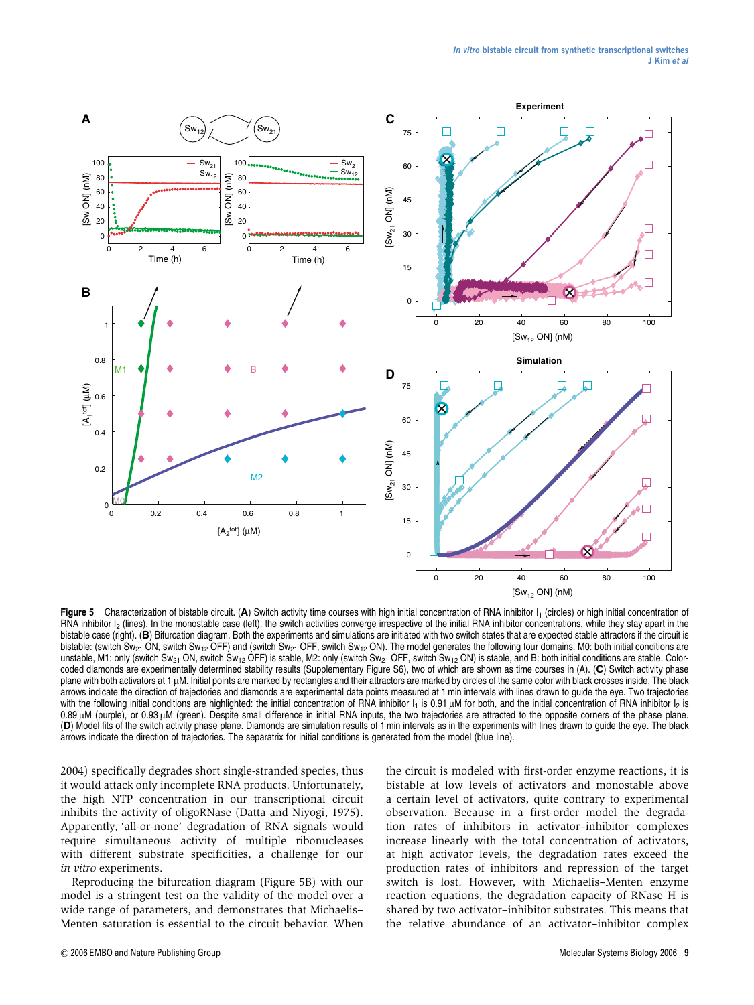

Figure 5 Characterization of bistable circuit. (A) Switch activity time courses with high initial concentration of RNA inhibitor  $I_1$  (circles) or high initial concentration of RNA inhibitor I<sub>2</sub> (lines). In the monostable case (left), the switch activities converge irrespective of the initial RNA inhibitor concentrations, while they stay apart in the bistable case (right). (B) Bifurcation diagram. Both the experiments and simulations are initiated with two switch states that are expected stable attractors if the circuit is bistable: (switch Sw<sub>21</sub> ON, switch Sw<sub>12</sub> OFF) and (switch Sw<sub>21</sub> OFF, switch Sw<sub>12</sub> ON). The model generates the following four domains. M0: both initial conditions are unstable, M1: only (switch Sw<sub>21</sub> ON, switch Sw<sub>12</sub> OFF) is stable, M2: only (switch Sw<sub>21</sub> OFF, switch Sw<sub>12</sub> ON) is stable, and B: both initial conditions are stable. Colorcoded diamonds are experimentally determined stability results (Supplementary Figure S6), two of which are shown as time courses in (A). (C) Switch activity phase plane with both activators at 1 µM. Initial points are marked by rectangles and their attractors are marked by circles of the same color with black crosses inside. The black arrows indicate the direction of trajectories and diamonds are experimental data points measured at 1 min intervals with lines drawn to guide the eye. Two trajectories with the following initial conditions are highlighted: the initial concentration of RNA inhibitor  $I_1$  is 0.91  $\mu$ M for both, and the initial concentration of RNA inhibitor  $I_2$  is 0.89  $\mu$ M (purple), or 0.93  $\mu$ M (green). Despite small difference in initial RNA inputs, the two trajectories are attracted to the opposite corners of the phase plane. (D) Model fits of the switch activity phase plane. Diamonds are simulation results of 1 min intervals as in the experiments with lines drawn to guide the eye. The black arrows indicate the direction of trajectories. The separatrix for initial conditions is generated from the model (blue line).

2004) specifically degrades short single-stranded species, thus it would attack only incomplete RNA products. Unfortunately, the high NTP concentration in our transcriptional circuit inhibits the activity of oligoRNase (Datta and Niyogi, 1975). Apparently, 'all-or-none' degradation of RNA signals would require simultaneous activity of multiple ribonucleases with different substrate specificities, a challenge for our in vitro experiments.

Reproducing the bifurcation diagram (Figure 5B) with our model is a stringent test on the validity of the model over a wide range of parameters, and demonstrates that Michaelis– Menten saturation is essential to the circuit behavior. When

the circuit is modeled with first-order enzyme reactions, it is bistable at low levels of activators and monostable above a certain level of activators, quite contrary to experimental observation. Because in a first-order model the degradation rates of inhibitors in activator–inhibitor complexes increase linearly with the total concentration of activators, at high activator levels, the degradation rates exceed the production rates of inhibitors and repression of the target switch is lost. However, with Michaelis–Menten enzyme reaction equations, the degradation capacity of RNase H is shared by two activator–inhibitor substrates. This means that the relative abundance of an activator–inhibitor complex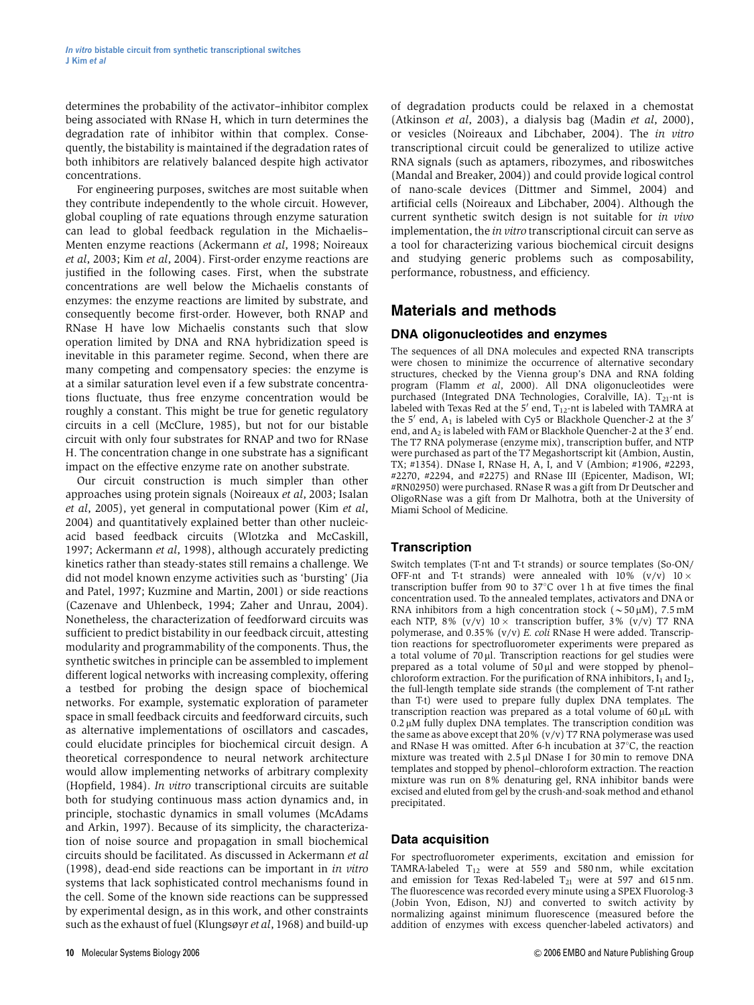determines the probability of the activator–inhibitor complex being associated with RNase H, which in turn determines the degradation rate of inhibitor within that complex. Consequently, the bistability is maintained if the degradation rates of both inhibitors are relatively balanced despite high activator concentrations.

For engineering purposes, switches are most suitable when they contribute independently to the whole circuit. However, global coupling of rate equations through enzyme saturation can lead to global feedback regulation in the Michaelis– Menten enzyme reactions (Ackermann et al, 1998; Noireaux et al, 2003; Kim et al, 2004). First-order enzyme reactions are justified in the following cases. First, when the substrate concentrations are well below the Michaelis constants of enzymes: the enzyme reactions are limited by substrate, and consequently become first-order. However, both RNAP and RNase H have low Michaelis constants such that slow operation limited by DNA and RNA hybridization speed is inevitable in this parameter regime. Second, when there are many competing and compensatory species: the enzyme is at a similar saturation level even if a few substrate concentrations fluctuate, thus free enzyme concentration would be roughly a constant. This might be true for genetic regulatory circuits in a cell (McClure, 1985), but not for our bistable circuit with only four substrates for RNAP and two for RNase H. The concentration change in one substrate has a significant impact on the effective enzyme rate on another substrate.

Our circuit construction is much simpler than other approaches using protein signals (Noireaux et al, 2003; Isalan et al, 2005), yet general in computational power (Kim et al, 2004) and quantitatively explained better than other nucleicacid based feedback circuits (Wlotzka and McCaskill, 1997; Ackermann et al, 1998), although accurately predicting kinetics rather than steady-states still remains a challenge. We did not model known enzyme activities such as 'bursting' (Jia and Patel, 1997; Kuzmine and Martin, 2001) or side reactions (Cazenave and Uhlenbeck, 1994; Zaher and Unrau, 2004). Nonetheless, the characterization of feedforward circuits was sufficient to predict bistability in our feedback circuit, attesting modularity and programmability of the components. Thus, the synthetic switches in principle can be assembled to implement different logical networks with increasing complexity, offering a testbed for probing the design space of biochemical networks. For example, systematic exploration of parameter space in small feedback circuits and feedforward circuits, such as alternative implementations of oscillators and cascades, could elucidate principles for biochemical circuit design. A theoretical correspondence to neural network architecture would allow implementing networks of arbitrary complexity (Hopfield, 1984). In vitro transcriptional circuits are suitable both for studying continuous mass action dynamics and, in principle, stochastic dynamics in small volumes (McAdams and Arkin, 1997). Because of its simplicity, the characterization of noise source and propagation in small biochemical circuits should be facilitated. As discussed in Ackermann et al (1998), dead-end side reactions can be important in in vitro systems that lack sophisticated control mechanisms found in the cell. Some of the known side reactions can be suppressed by experimental design, as in this work, and other constraints such as the exhaust of fuel (Klungsøyr et al, 1968) and build-up

of degradation products could be relaxed in a chemostat (Atkinson et al, 2003), a dialysis bag (Madin et al, 2000), or vesicles (Noireaux and Libchaber, 2004). The in vitro transcriptional circuit could be generalized to utilize active RNA signals (such as aptamers, ribozymes, and riboswitches (Mandal and Breaker, 2004)) and could provide logical control of nano-scale devices (Dittmer and Simmel, 2004) and artificial cells (Noireaux and Libchaber, 2004). Although the current synthetic switch design is not suitable for in vivo implementation, the in vitro transcriptional circuit can serve as a tool for characterizing various biochemical circuit designs and studying generic problems such as composability, performance, robustness, and efficiency.

## Materials and methods

#### DNA oligonucleotides and enzymes

The sequences of all DNA molecules and expected RNA transcripts were chosen to minimize the occurrence of alternative secondary structures, checked by the Vienna group's DNA and RNA folding program (Flamm et al, 2000). All DNA oligonucleotides were purchased (Integrated DNA Technologies, Coralville, IA).  $T_{21}$ -nt is labeled with Texas Red at the 5' end,  $T_{12}$ -nt is labeled with TAMRA at the 5' end,  $A_1$  is labeled with Cy5 or Blackhole Quencher-2 at the 3' end, and  $A_2$  is labeled with FAM or Blackhole Quencher-2 at the 3' end. The T7 RNA polymerase (enzyme mix), transcription buffer, and NTP were purchased as part of the T7 Megashortscript kit (Ambion, Austin, TX; #1354). DNase I, RNase H, A, I, and V (Ambion; #1906, #2293, #2270, #2294, and #2275) and RNase III (Epicenter, Madison, WI; #RN02950) were purchased. RNase R was a gift from Dr Deutscher and OligoRNase was a gift from Dr Malhotra, both at the University of Miami School of Medicine.

### **Transcription**

Switch templates (T-nt and T-t strands) or source templates (So-ON/ OFF-nt and T-t strands) were annealed with  $10\%$  (v/v)  $10 \times$ transcription buffer from 90 to 37 $\degree$ C over 1 h at five times the final concentration used. To the annealed templates, activators and DNA or RNA inhibitors from a high concentration stock ( $\sim$  50  $\mu$ M), 7.5 mM each NTP, 8% (v/v)  $10 \times$  transcription buffer, 3% (v/v) T7 RNA polymerase, and 0.35% (v/v) E. coli RNase H were added. Transcription reactions for spectrofluorometer experiments were prepared as a total volume of  $70 \mu$ l. Transcription reactions for gel studies were prepared as a total volume of  $50 \mu l$  and were stopped by phenol– chloroform extraction. For the purification of RNA inhibitors,  $I_1$  and  $I_2$ , the full-length template side strands (the complement of T-nt rather than T-t) were used to prepare fully duplex DNA templates. The transcription reaction was prepared as a total volume of  $60 \mu L$  with  $0.2 \mu$ M fully duplex DNA templates. The transcription condition was the same as above except that 20% (v/v) T7 RNA polymerase was used and RNase H was omitted. After 6-h incubation at  $37^{\circ}$ C, the reaction mixture was treated with 2.5 µl DNase I for 30 min to remove DNA templates and stopped by phenol–chloroform extraction. The reaction mixture was run on 8% denaturing gel, RNA inhibitor bands were excised and eluted from gel by the crush-and-soak method and ethanol precipitated.

#### Data acquisition

For spectrofluorometer experiments, excitation and emission for TAMRA-labeled  $T_{12}$  were at 559 and 580 nm, while excitation and emission for Texas Red-labeled  $T_{21}$  were at 597 and 615 nm. The fluorescence was recorded every minute using a SPEX Fluorolog-3 (Jobin Yvon, Edison, NJ) and converted to switch activity by normalizing against minimum fluorescence (measured before the addition of enzymes with excess quencher-labeled activators) and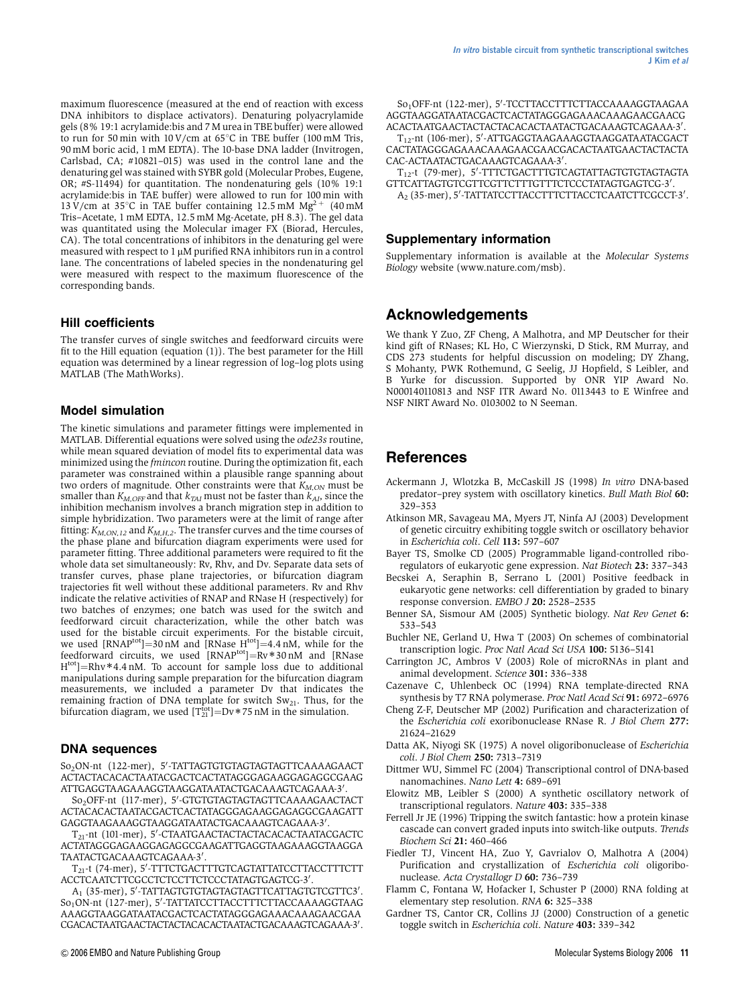maximum fluorescence (measured at the end of reaction with excess DNA inhibitors to displace activators). Denaturing polyacrylamide gels (8% 19:1 acrylamide:bis and 7 M urea in TBE buffer) were allowed to run for 50 min with  $10 \text{ V/cm}$  at  $65^{\circ}$ C in TBE buffer (100 mM Tris, 90 mM boric acid, 1 mM EDTA). The 10-base DNA ladder (Invitrogen, Carlsbad, CA; #10821–015) was used in the control lane and the denaturing gel was stained with SYBR gold (Molecular Probes, Eugene, OR; #S-11494) for quantitation. The nondenaturing gels (10% 19:1 acrylamide:bis in TAE buffer) were allowed to run for 100 min with 13 V/cm at 35<sup>°</sup>C in TAE buffer containing 12.5 mM  $Mg^{2+}$  (40 mM Tris–Acetate, 1 mM EDTA, 12.5 mM Mg-Acetate, pH 8.3). The gel data was quantitated using the Molecular imager FX (Biorad, Hercules, CA). The total concentrations of inhibitors in the denaturing gel were measured with respect to  $1 \mu M$  purified RNA inhibitors run in a control lane. The concentrations of labeled species in the nondenaturing gel were measured with respect to the maximum fluorescence of the corresponding bands.

#### Hill coefficients

The transfer curves of single switches and feedforward circuits were fit to the Hill equation (equation (1)). The best parameter for the Hill equation was determined by a linear regression of log–log plots using MATLAB (The MathWorks).

#### Model simulation

The kinetic simulations and parameter fittings were implemented in MATLAB. Differential equations were solved using the  $o\bar{de}$ 23s routine, while mean squared deviation of model fits to experimental data was minimized using the *fmincon* routine. During the optimization fit, each parameter was constrained within a plausible range spanning about two orders of magnitude. Other constraints were that  $K_{M,ON}$  must be smaller than  $K_{M,OFF}$  and that  $k_{TAI}$  must not be faster than  $k_{AI}$ , since the inhibition mechanism involves a branch migration step in addition to simple hybridization. Two parameters were at the limit of range after fitting:  $K_{M,ON,12}$  and  $K_{M,H,2}$ . The transfer curves and the time courses of the phase plane and bifurcation diagram experiments were used for parameter fitting. Three additional parameters were required to fit the whole data set simultaneously: Rv, Rhv, and Dv. Separate data sets of transfer curves, phase plane trajectories, or bifurcation diagram trajectories fit well without these additional parameters. Rv and Rhv indicate the relative activities of RNAP and RNase H (respectively) for two batches of enzymes; one batch was used for the switch and feedforward circuit characterization, while the other batch was used for the bistable circuit experiments. For the bistable circuit, we used  $[RNAP<sup>tot</sup>] = 30 \text{ nM}$  and  $[RNase H<sup>tot</sup>] = 4.4 \text{ nM}$ , while for the feedforward circuits, we used  $[RNAP<sup>tot</sup>] = Ry*30 nM$  and  $[RNase$  $H<sup>tot</sup>$  = Rhv\*4.4 nM. To account for sample loss due to additional manipulations during sample preparation for the bifurcation diagram measurements, we included a parameter Dv that indicates the remaining fraction of DNA template for switch  $Sw_{21}$ . Thus, for the bifurcation diagram, we used  $[T_{21}^{tot}] = Dv * 75$  nM in the simulation.

#### DNA sequences

So<sub>2</sub>ON-nt (122-mer), 5'-TATTAGTGTGTAGTAGTAGTTCAAAAGAACT ACTACTACACACTAATACGACTCACTATAGGGAGAAGGAGAGGCGAAG ATTGAGGTAAGAAAGGTAAGGATAATACTGACAAAGTCAGAAA-3'.

So<sub>2</sub>OFF-nt (117-mer), 5'-GTGTGTAGTAGTAGTTCAAAAGAACTACT ACTACACACTAATACGACTCACTATAGGGAGAAGGAGAGGCGAAGATT GAGGTAAGAAAGGTAAGGATAATACTGACAAAGTCAGAAA-3' .

T<sub>21</sub>-nt (101-mer), 5'-CTAATGAACTACTACTACACACTAATACGACTC ACTATAGGGAGAAGGAGAGGCGAAGATTGAGGTAAGAAAGGTAAGGA TAATACTGACAAAGTCAGAAA-3'.

T<sub>21</sub>-t (74-mer), 5'-TTTCTGACTTTGTCAGTATTATCCTTACCTTTCTT ACCTCAATCTTCGCCTCTCCTTCTCCCTATAGTGAGTCG-3'.

 $A_1$  (35-mer), 5'-TATTAGTGTGTAGTAGTAGTTCATTAGTGTCGTTC3'. So<sub>1</sub>ON-nt (127-mer), 5'-TATTATCCTTACCTTTCTTACCAAAAGGTAAG AAAGGTAAGGATAATACGACTCACTATAGGGAGAAACAAAGAACGAA CGACACTAATGAACTACTACTACACACTAATACTGACAAAGTCAGAAA-3'.

So<sub>1</sub>OFF-nt (122-mer), 5'-TCCTTACCTTTCTTACCAAAAGGTAAGAA AGGTAAGGATAATACGACTCACTATAGGGAGAAACAAAGAACGAACG ACACTAATGAACTACTACTACACACTAATACTGACAAAGTCAGAAA-3'.

 $\rm T_{12}$ -nt (106-mer), 5′-ATTGAGGTAAGAAAGGTAAGGATAATACGACT CACTATAGGGAGAAACAAAGAACGAACGACACTAATGAACTACTACTA CAC-ACTAATACTGACAAAGTCAGAAA-3'.

T<sub>12</sub>-t (79-mer), 5′-TTTCTGACTTTGTCAGTATTAGTGTGTAGTAGTA GTTCATTAGTGTCGTTCGTTCTTTGTTTCTCCCTATAGTGAGTCG-3'.

 $A_2$  (35-mer), 5'-TATTATCCTTACCTTTCTTACCTCAATCTTCGCCT-3'.

#### Supplementary information

Supplementary information is available at the Molecular Systems Biology website (www.nature.com/msb).

### Acknowledgements

We thank Y Zuo, ZF Cheng, A Malhotra, and MP Deutscher for their kind gift of RNases; KL Ho, C Wierzynski, D Stick, RM Murray, and CDS 273 students for helpful discussion on modeling; DY Zhang, S Mohanty, PWK Rothemund, G Seelig, JJ Hopfield, S Leibler, and B Yurke for discussion. Supported by ONR YIP Award No. N000140110813 and NSF ITR Award No. 0113443 to E Winfree and NSF NIRT Award No. 0103002 to N Seeman.

## References

- Ackermann J, Wlotzka B, McCaskill JS (1998) In vitro DNA-based predator–prey system with oscillatory kinetics. Bull Math Biol 60: 329–353
- Atkinson MR, Savageau MA, Myers JT, Ninfa AJ (2003) Development of genetic circuitry exhibiting toggle switch or oscillatory behavior in Escherichia coli. Cell 113: 597–607
- Bayer TS, Smolke CD (2005) Programmable ligand-controlled riboregulators of eukaryotic gene expression. Nat Biotech 23: 337–343
- Becskei A, Seraphin B, Serrano L (2001) Positive feedback in eukaryotic gene networks: cell differentiation by graded to binary response conversion. EMBO J 20: 2528–2535
- Benner SA, Sismour AM (2005) Synthetic biology. Nat Rev Genet 6: 533–543
- Buchler NE, Gerland U, Hwa T (2003) On schemes of combinatorial transcription logic. Proc Natl Acad Sci USA 100: 5136–5141
- Carrington JC, Ambros V (2003) Role of microRNAs in plant and animal development. Science 301: 336–338
- Cazenave C, Uhlenbeck OC (1994) RNA template-directed RNA synthesis by T7 RNA polymerase. Proc Natl Acad Sci 91: 6972–6976
- Cheng Z-F, Deutscher MP (2002) Purification and characterization of the Escherichia coli exoribonuclease RNase R. J Biol Chem 277: 21624–21629
- Datta AK, Niyogi SK (1975) A novel oligoribonuclease of Escherichia coli. J Biol Chem 250: 7313–7319
- Dittmer WU, Simmel FC (2004) Transcriptional control of DNA-based nanomachines. Nano Lett 4: 689–691
- Elowitz MB, Leibler S (2000) A synthetic oscillatory network of transcriptional regulators. Nature 403: 335–338
- Ferrell Jr JE (1996) Tripping the switch fantastic: how a protein kinase cascade can convert graded inputs into switch-like outputs. Trends Biochem Sci 21: 460–466
- Fiedler TJ, Vincent HA, Zuo Y, Gavrialov O, Malhotra A (2004) Purification and crystallization of Escherichia coli oligoribonuclease. Acta Crystallogr D 60: 736–739
- Flamm C, Fontana W, Hofacker I, Schuster P (2000) RNA folding at elementary step resolution. RNA 6: 325–338
- Gardner TS, Cantor CR, Collins JJ (2000) Construction of a genetic toggle switch in Escherichia coli. Nature 403: 339–342